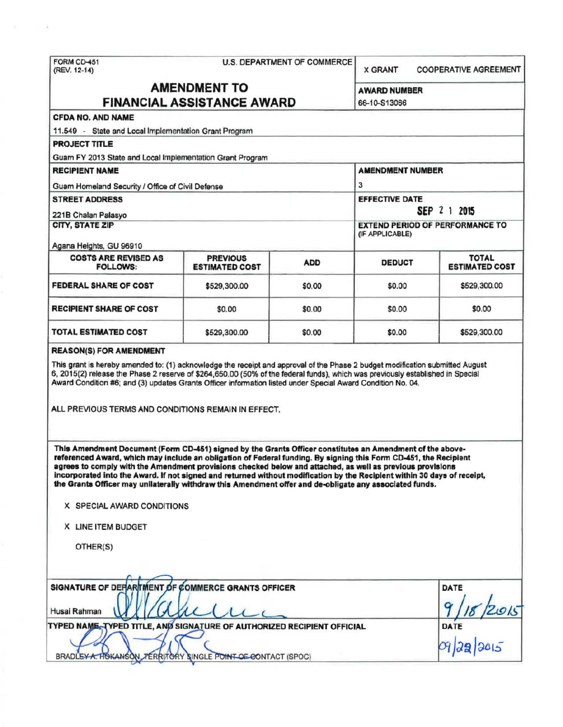# FORM CD-451 U.S. DEPARTMENT OF COMMERCE<br>(REV. 12-14)

**X GRANT COOPERATIVE AGREEMENT** 

## AMENDMENT TO AWARD NUMBER FINANCIAL ASSISTANCE AWARD 66-10-S13066

## CFDA NO. AND NAME

11.549 - State and Local Implementation Grant Program

PROJECT TITLE

Guam FY 2013 State and Local Implementation Grant Program

RECIPIENT NAME AMENDMENT NUMBER Guam Homeland Security / Office of Civil Defense 3 STREET ADDRESS EFFECTIVE DATE 221B Chalan Palasyo **SEP** 2 1 2015 **EXTEND PERIOD OF PERFORMANCE TO** QF APPLICABLE) Agans Heights, GU 96910 COSTS ARE REVISED AS PREVIOUS ADD DEDUCT TOTAL TOTAL TOTAL TOTAL TOTAL PREVIOUS **ESTIMATED COST FEDERAL SHARE OF COST \$529,300.00 \$0.00 \$0.00 \$529,300.00** \$529,300.00 RECIPIENT SHARE OF COST \$0.00 \$0.00 \$0.00 \$0.00 TOTAL ESTIMATED COST \$529,300.00 \$0.00 \$0.00 \$529,300.00

#### REASON(S) FOR AMENDMENT

This grant is hereby amended to: (1) acknowledge the receipt and approval of the Phase 2 budget modification submitted August 6, 2015(2) release the Phase 2 reserve of \$264,650.00 (50% of the federal funds), which was previously established in Special Award Condition #6; and (3) updates Grants Offioer information listed under Special Award Condition No. 04.

ALL PREVIOUS TERMS AND CONDITIONS REMAIN IN EFFECT.

This Amendment Document (Form CD-451) signed by the Grants Officer constitutes an Amendment of the abovereferenced Award, which may include an obligation of Federal funding. By signing this Form CD-451, the Recipient agrees to comply with the Amendment provisions checked below and attached, as well as previous provisions incorporated into the Award. If not signed and returned without modification by the Recipient within 30 days of receipt, the Grants Officer may unilaterally withdraw this Amendment offer and de-obligate any associated funds.

|  |  |  | X SPECIAL AWARD CONDITIONS |
|--|--|--|----------------------------|
|--|--|--|----------------------------|

X LINE ITEM BUDGET

OTHER(S)

| SIGNATURE OF DEFARTMENT OF COMMERCE GRANTS OFFICER                      | DATE                |
|-------------------------------------------------------------------------|---------------------|
| Husai Rahman                                                            | $\mathbf o$<br>2015 |
| TYPED NAME, TYPED TITLE, AND SIGNATURE OF AUTHORIZED RECIPIENT OFFICIAL | DATE                |
| BRADLEYA. HOKANSON, TERRITORY SINGLE POINT OF CONTACT (SPOC)            | 09/22/2015          |
|                                                                         |                     |